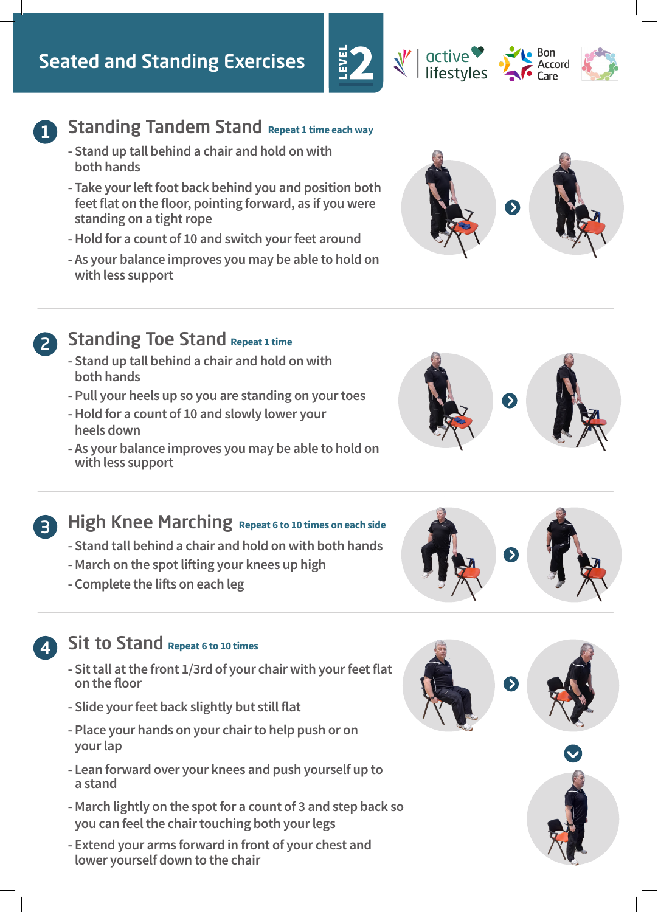# Seated and Standing Exercises



# **1** Standing Tandem Stand Repeat 1 time each way

- **Stand up tall behind a chair and hold on with both hands**
- **Take your left foot back behind you and position both feet flat on the floor, pointing forward, as if you were standing on a tight rope**
- **Hold for a count of 10 and switch your feet around**
- **As your balance improves you may be able to hold on with less support**



**Bon** Accord

active

lifestyles



# 2 Standing Toe Stand Repeat 1 time

- **Stand up tall behind a chair and hold on with both hands**
- **Pull your heels up so you are standing on your toes**
- **Hold for a count of 10 and slowly lower your heels down**
- **As your balance improves you may be able to hold on with less support**





# **3** High Knee Marching Repeat 6 to 10 times on each side

- **Stand tall behind a chair and hold on with both hands**
- **March on the spot lifting your knees up high**
- **Complete the lifts on each leg**

# 4 Sit to Stand **Repeat 6 to 10 times**

- **Sit tall at the front 1/3rd of your chair with your feet flat on the floor**
- **Slide your feet back slightly but still flat**
- **Place your hands on your chair to help push or on your lap**
- **Lean forward over your knees and push yourself up to a stand**
- **March lightly on the spot for a count of 3 and step back so you can feel the chair touching both your legs**
- **Extend your arms forward in front of your chest and lower yourself down to the chair**